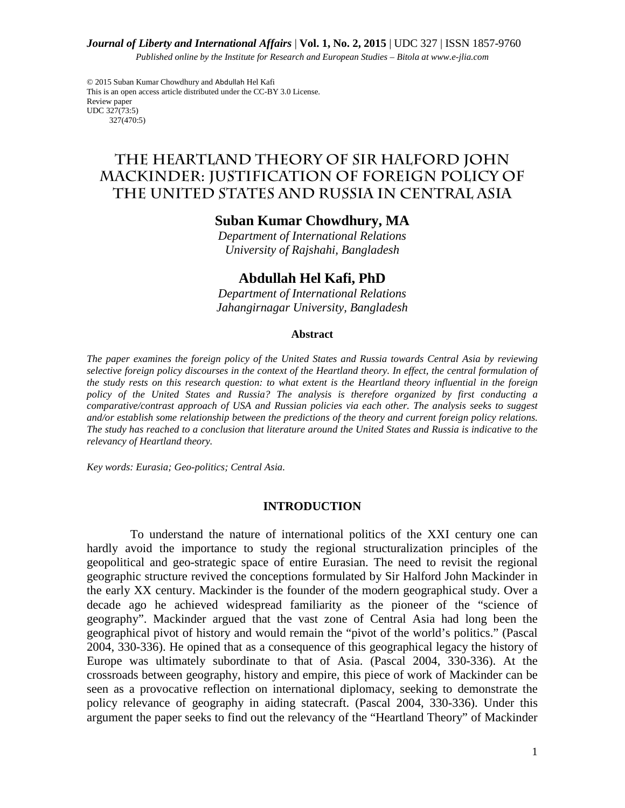#### *Journal of Liberty and International Affairs* | **Vol. 1, No. 2, 2015** | UDC 327 | ISSN 1857-9760

*Published online by the Institute for Research and European Studies – Bitola at www.e-jlia.com*

© 2015 Suban Kumar Chowdhury and Abdullah Hel Kafi This is an open access article distributed under the CC-BY 3.0 License. Review paper UDC 327(73:5) 327(470:5)

**THE HEARTLAND THEORY OF SIR HALFORD JOHN MACKINDER: JUSTIFICATION OF FOREIGN POLICY OF THE UNITED STATES AND RUSSIA IN CENTRAL ASIA** 

# **Suban Kumar Chowdhury, MA**

*Department of International Relations University of Rajshahi, Bangladesh* 

# **Abdullah Hel Kafi, PhD**

*Department of International Relations Jahangirnagar University, Bangladesh* 

#### **Abstract**

*The paper examines the foreign policy of the United States and Russia towards Central Asia by reviewing selective foreign policy discourses in the context of the Heartland theory. In effect, the central formulation of the study rests on this research question: to what extent is the Heartland theory influential in the foreign policy of the United States and Russia? The analysis is therefore organized by first conducting a comparative/contrast approach of USA and Russian policies via each other. The analysis seeks to suggest and/or establish some relationship between the predictions of the theory and current foreign policy relations. The study has reached to a conclusion that literature around the United States and Russia is indicative to the relevancy of Heartland theory.* 

*Key words: Eurasia; Geo-politics; Central Asia.* 

#### **INTRODUCTION**

To understand the nature of international politics of the XXI century one can hardly avoid the importance to study the regional structuralization principles of the geopolitical and geo-strategic space of entire Eurasian. The need to revisit the regional geographic structure revived the conceptions formulated by Sir Halford John Mackinder in the early XX century. Mackinder is the founder of the modern geographical study. Over a decade ago he achieved widespread familiarity as the pioneer of the "science of geography". Mackinder argued that the vast zone of Central Asia had long been the geographical pivot of history and would remain the "pivot of the world's politics." (Pascal 2004, 330-336). He opined that as a consequence of this geographical legacy the history of Europe was ultimately subordinate to that of Asia. (Pascal 2004, 330-336). At the crossroads between geography, history and empire, this piece of work of Mackinder can be seen as a provocative reflection on international diplomacy, seeking to demonstrate the policy relevance of geography in aiding statecraft. (Pascal 2004, 330-336). Under this argument the paper seeks to find out the relevancy of the "Heartland Theory" of Mackinder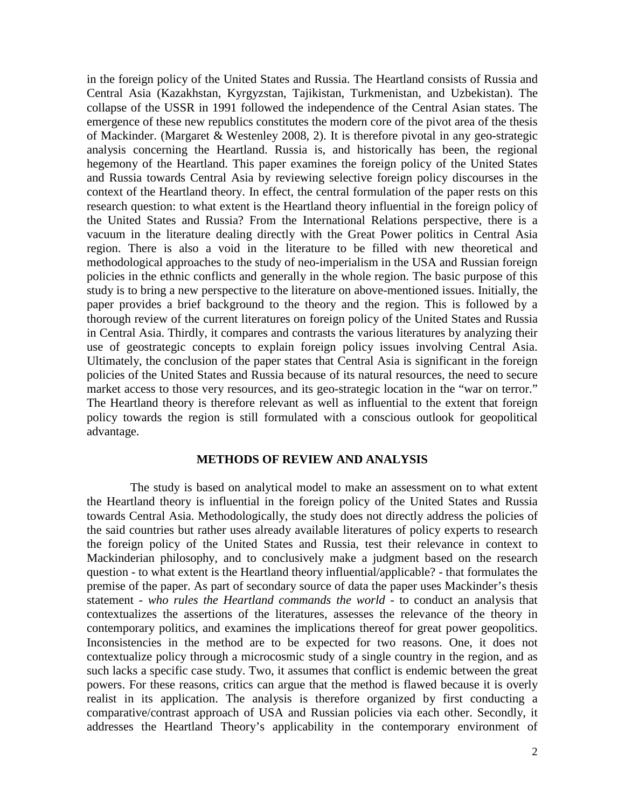in the foreign policy of the United States and Russia. The Heartland consists of Russia and Central Asia (Kazakhstan, Kyrgyzstan, Tajikistan, Turkmenistan, and Uzbekistan). The collapse of the USSR in 1991 followed the independence of the Central Asian states. The emergence of these new republics constitutes the modern core of the pivot area of the thesis of Mackinder. (Margaret & Westenley 2008, 2). It is therefore pivotal in any geo-strategic analysis concerning the Heartland. Russia is, and historically has been, the regional hegemony of the Heartland. This paper examines the foreign policy of the United States and Russia towards Central Asia by reviewing selective foreign policy discourses in the context of the Heartland theory. In effect, the central formulation of the paper rests on this research question: to what extent is the Heartland theory influential in the foreign policy of the United States and Russia? From the International Relations perspective, there is a vacuum in the literature dealing directly with the Great Power politics in Central Asia region. There is also a void in the literature to be filled with new theoretical and methodological approaches to the study of neo-imperialism in the USA and Russian foreign policies in the ethnic conflicts and generally in the whole region. The basic purpose of this study is to bring a new perspective to the literature on above-mentioned issues. Initially, the paper provides a brief background to the theory and the region. This is followed by a thorough review of the current literatures on foreign policy of the United States and Russia in Central Asia. Thirdly, it compares and contrasts the various literatures by analyzing their use of geostrategic concepts to explain foreign policy issues involving Central Asia. Ultimately, the conclusion of the paper states that Central Asia is significant in the foreign policies of the United States and Russia because of its natural resources, the need to secure market access to those very resources, and its geo-strategic location in the "war on terror." The Heartland theory is therefore relevant as well as influential to the extent that foreign policy towards the region is still formulated with a conscious outlook for geopolitical advantage.

### **METHODS OF REVIEW AND ANALYSIS**

The study is based on analytical model to make an assessment on to what extent the Heartland theory is influential in the foreign policy of the United States and Russia towards Central Asia. Methodologically, the study does not directly address the policies of the said countries but rather uses already available literatures of policy experts to research the foreign policy of the United States and Russia, test their relevance in context to Mackinderian philosophy, and to conclusively make a judgment based on the research question - to what extent is the Heartland theory influential/applicable? - that formulates the premise of the paper. As part of secondary source of data the paper uses Mackinder's thesis statement - *who rules the Heartland commands the world* - to conduct an analysis that contextualizes the assertions of the literatures, assesses the relevance of the theory in contemporary politics, and examines the implications thereof for great power geopolitics. Inconsistencies in the method are to be expected for two reasons. One, it does not contextualize policy through a microcosmic study of a single country in the region, and as such lacks a specific case study. Two, it assumes that conflict is endemic between the great powers. For these reasons, critics can argue that the method is flawed because it is overly realist in its application. The analysis is therefore organized by first conducting a comparative/contrast approach of USA and Russian policies via each other. Secondly, it addresses the Heartland Theory's applicability in the contemporary environment of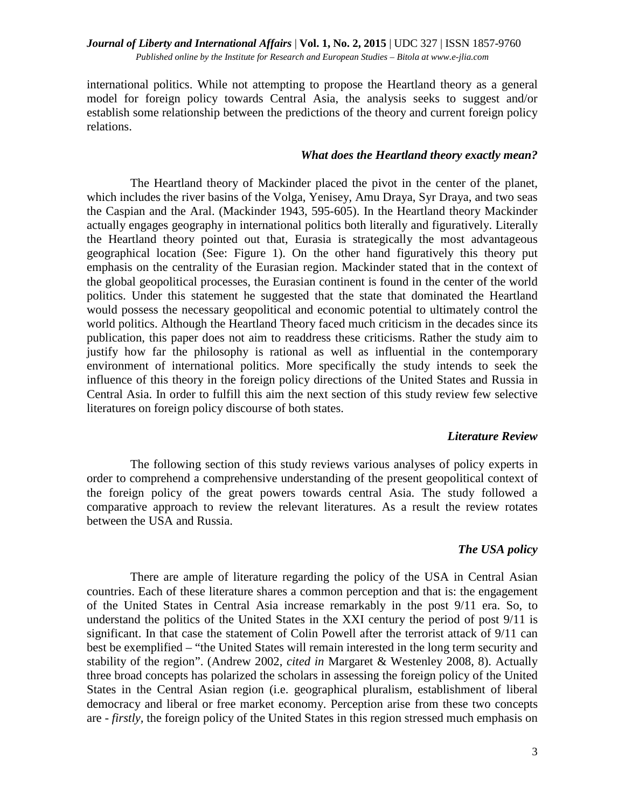international politics. While not attempting to propose the Heartland theory as a general model for foreign policy towards Central Asia, the analysis seeks to suggest and/or establish some relationship between the predictions of the theory and current foreign policy relations.

## *What does the Heartland theory exactly mean?*

The Heartland theory of Mackinder placed the pivot in the center of the planet, which includes the river basins of the Volga, Yenisey, Amu Draya, Syr Draya, and two seas the Caspian and the Aral. (Mackinder 1943, 595-605). In the Heartland theory Mackinder actually engages geography in international politics both literally and figuratively. Literally the Heartland theory pointed out that, Eurasia is strategically the most advantageous geographical location (See: Figure 1). On the other hand figuratively this theory put emphasis on the centrality of the Eurasian region. Mackinder stated that in the context of the global geopolitical processes, the Eurasian continent is found in the center of the world politics. Under this statement he suggested that the state that dominated the Heartland would possess the necessary geopolitical and economic potential to ultimately control the world politics. Although the Heartland Theory faced much criticism in the decades since its publication, this paper does not aim to readdress these criticisms. Rather the study aim to justify how far the philosophy is rational as well as influential in the contemporary environment of international politics. More specifically the study intends to seek the influence of this theory in the foreign policy directions of the United States and Russia in Central Asia. In order to fulfill this aim the next section of this study review few selective literatures on foreign policy discourse of both states.

### *Literature Review*

The following section of this study reviews various analyses of policy experts in order to comprehend a comprehensive understanding of the present geopolitical context of the foreign policy of the great powers towards central Asia. The study followed a comparative approach to review the relevant literatures. As a result the review rotates between the USA and Russia.

# *The USA policy*

There are ample of literature regarding the policy of the USA in Central Asian countries. Each of these literature shares a common perception and that is: the engagement of the United States in Central Asia increase remarkably in the post 9/11 era. So, to understand the politics of the United States in the XXI century the period of post 9/11 is significant. In that case the statement of Colin Powell after the terrorist attack of 9/11 can best be exemplified – "the United States will remain interested in the long term security and stability of the region". (Andrew 2002, *cited in* Margaret & Westenley 2008, 8). Actually three broad concepts has polarized the scholars in assessing the foreign policy of the United States in the Central Asian region (i.e. geographical pluralism, establishment of liberal democracy and liberal or free market economy. Perception arise from these two concepts are - *firstly,* the foreign policy of the United States in this region stressed much emphasis on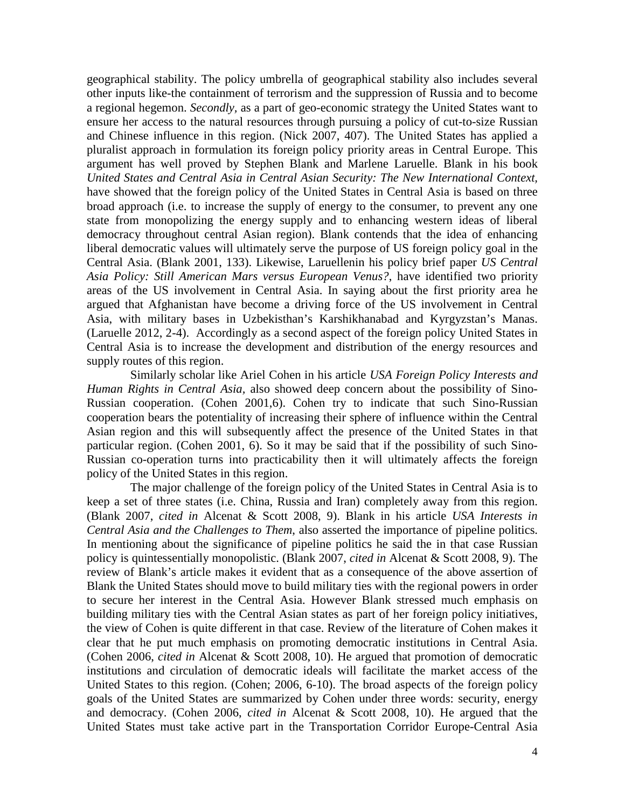geographical stability. The policy umbrella of geographical stability also includes several other inputs like-the containment of terrorism and the suppression of Russia and to become a regional hegemon. *Secondly,* as a part of geo-economic strategy the United States want to ensure her access to the natural resources through pursuing a policy of cut-to-size Russian and Chinese influence in this region. (Nick 2007, 407). The United States has applied a pluralist approach in formulation its foreign policy priority areas in Central Europe. This argument has well proved by Stephen Blank and Marlene Laruelle. Blank in his book *United States and Central Asia in Central Asian Security: The New International Context,* have showed that the foreign policy of the United States in Central Asia is based on three broad approach (i.e. to increase the supply of energy to the consumer, to prevent any one state from monopolizing the energy supply and to enhancing western ideas of liberal democracy throughout central Asian region). Blank contends that the idea of enhancing liberal democratic values will ultimately serve the purpose of US foreign policy goal in the Central Asia. (Blank 2001, 133). Likewise, Laruellenin his policy brief paper *US Central Asia Policy: Still American Mars versus European Venus?*, have identified two priority areas of the US involvement in Central Asia. In saying about the first priority area he argued that Afghanistan have become a driving force of the US involvement in Central Asia, with military bases in Uzbekisthan's Karshikhanabad and Kyrgyzstan's Manas. (Laruelle 2012, 2-4). Accordingly as a second aspect of the foreign policy United States in Central Asia is to increase the development and distribution of the energy resources and supply routes of this region.

Similarly scholar like Ariel Cohen in his article *USA Foreign Policy Interests and Human Rights in Central Asia,* also showed deep concern about the possibility of Sino-Russian cooperation. (Cohen 2001,6). Cohen try to indicate that such Sino-Russian cooperation bears the potentiality of increasing their sphere of influence within the Central Asian region and this will subsequently affect the presence of the United States in that particular region. (Cohen 2001, 6). So it may be said that if the possibility of such Sino-Russian co-operation turns into practicability then it will ultimately affects the foreign policy of the United States in this region.

The major challenge of the foreign policy of the United States in Central Asia is to keep a set of three states (i.e. China, Russia and Iran) completely away from this region. (Blank 2007, *cited in* Alcenat & Scott 2008, 9). Blank in his article *USA Interests in Central Asia and the Challenges to Them*, also asserted the importance of pipeline politics. In mentioning about the significance of pipeline politics he said the in that case Russian policy is quintessentially monopolistic. (Blank 2007, *cited in* Alcenat & Scott 2008, 9). The review of Blank's article makes it evident that as a consequence of the above assertion of Blank the United States should move to build military ties with the regional powers in order to secure her interest in the Central Asia. However Blank stressed much emphasis on building military ties with the Central Asian states as part of her foreign policy initiatives, the view of Cohen is quite different in that case. Review of the literature of Cohen makes it clear that he put much emphasis on promoting democratic institutions in Central Asia. (Cohen 2006, *cited in* Alcenat & Scott 2008, 10). He argued that promotion of democratic institutions and circulation of democratic ideals will facilitate the market access of the United States to this region. (Cohen; 2006, 6-10). The broad aspects of the foreign policy goals of the United States are summarized by Cohen under three words: security, energy and democracy. (Cohen 2006, *cited in* Alcenat & Scott 2008, 10). He argued that the United States must take active part in the Transportation Corridor Europe-Central Asia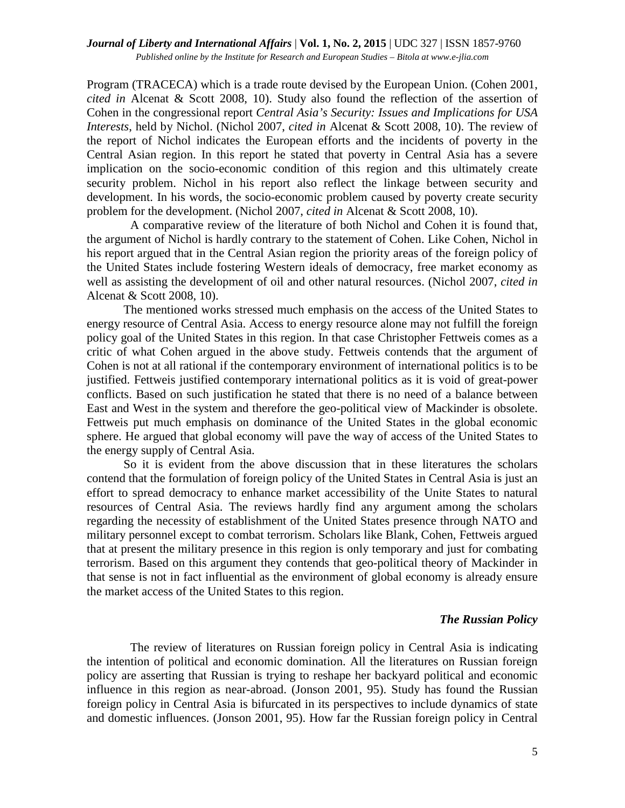Program (TRACECA) which is a trade route devised by the European Union. (Cohen 2001, *cited in* Alcenat & Scott 2008, 10). Study also found the reflection of the assertion of Cohen in the congressional report *Central Asia's Security: Issues and Implications for USA Interests*, held by Nichol. (Nichol 2007, *cited in* Alcenat & Scott 2008, 10). The review of the report of Nichol indicates the European efforts and the incidents of poverty in the Central Asian region. In this report he stated that poverty in Central Asia has a severe implication on the socio-economic condition of this region and this ultimately create security problem. Nichol in his report also reflect the linkage between security and development. In his words, the socio-economic problem caused by poverty create security problem for the development. (Nichol 2007, *cited in* Alcenat & Scott 2008, 10).

A comparative review of the literature of both Nichol and Cohen it is found that, the argument of Nichol is hardly contrary to the statement of Cohen. Like Cohen, Nichol in his report argued that in the Central Asian region the priority areas of the foreign policy of the United States include fostering Western ideals of democracy, free market economy as well as assisting the development of oil and other natural resources. (Nichol 2007, *cited in*  Alcenat & Scott 2008, 10).

The mentioned works stressed much emphasis on the access of the United States to energy resource of Central Asia. Access to energy resource alone may not fulfill the foreign policy goal of the United States in this region. In that case Christopher Fettweis comes as a critic of what Cohen argued in the above study. Fettweis contends that the argument of Cohen is not at all rational if the contemporary environment of international politics is to be justified. Fettweis justified contemporary international politics as it is void of great-power conflicts. Based on such justification he stated that there is no need of a balance between East and West in the system and therefore the geo-political view of Mackinder is obsolete. Fettweis put much emphasis on dominance of the United States in the global economic sphere. He argued that global economy will pave the way of access of the United States to the energy supply of Central Asia.

So it is evident from the above discussion that in these literatures the scholars contend that the formulation of foreign policy of the United States in Central Asia is just an effort to spread democracy to enhance market accessibility of the Unite States to natural resources of Central Asia. The reviews hardly find any argument among the scholars regarding the necessity of establishment of the United States presence through NATO and military personnel except to combat terrorism. Scholars like Blank, Cohen, Fettweis argued that at present the military presence in this region is only temporary and just for combating terrorism. Based on this argument they contends that geo-political theory of Mackinder in that sense is not in fact influential as the environment of global economy is already ensure the market access of the United States to this region.

### *The Russian Policy*

The review of literatures on Russian foreign policy in Central Asia is indicating the intention of political and economic domination. All the literatures on Russian foreign policy are asserting that Russian is trying to reshape her backyard political and economic influence in this region as near-abroad. (Jonson 2001, 95). Study has found the Russian foreign policy in Central Asia is bifurcated in its perspectives to include dynamics of state and domestic influences. (Jonson 2001, 95). How far the Russian foreign policy in Central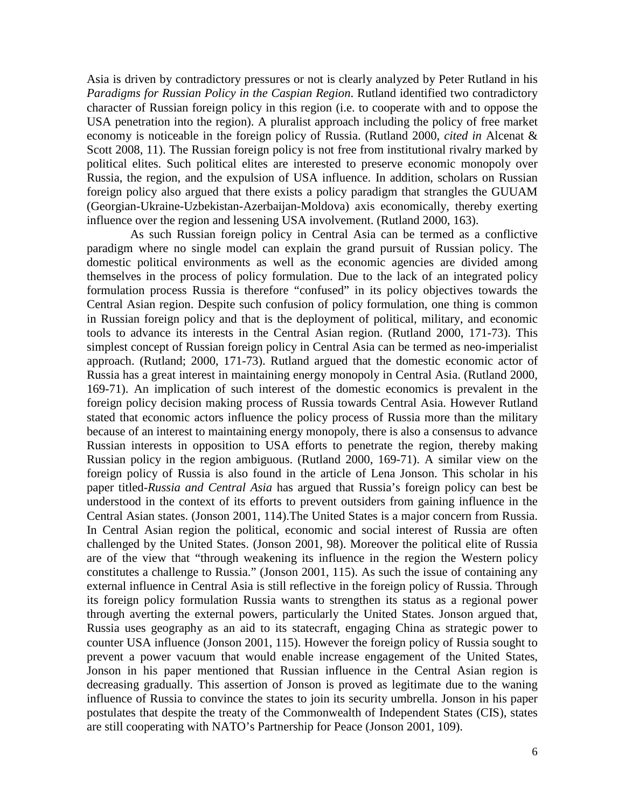Asia is driven by contradictory pressures or not is clearly analyzed by Peter Rutland in his *Paradigms for Russian Policy in the Caspian Region*. Rutland identified two contradictory character of Russian foreign policy in this region (i.e. to cooperate with and to oppose the USA penetration into the region). A pluralist approach including the policy of free market economy is noticeable in the foreign policy of Russia. (Rutland 2000, *cited in* Alcenat & Scott 2008, 11). The Russian foreign policy is not free from institutional rivalry marked by political elites. Such political elites are interested to preserve economic monopoly over Russia, the region, and the expulsion of USA influence. In addition, scholars on Russian foreign policy also argued that there exists a policy paradigm that strangles the GUUAM (Georgian-Ukraine-Uzbekistan-Azerbaijan-Moldova) axis economically, thereby exerting influence over the region and lessening USA involvement. (Rutland 2000, 163).

As such Russian foreign policy in Central Asia can be termed as a conflictive paradigm where no single model can explain the grand pursuit of Russian policy. The domestic political environments as well as the economic agencies are divided among themselves in the process of policy formulation. Due to the lack of an integrated policy formulation process Russia is therefore "confused" in its policy objectives towards the Central Asian region. Despite such confusion of policy formulation, one thing is common in Russian foreign policy and that is the deployment of political, military, and economic tools to advance its interests in the Central Asian region. (Rutland 2000, 171-73). This simplest concept of Russian foreign policy in Central Asia can be termed as neo-imperialist approach. (Rutland; 2000, 171-73). Rutland argued that the domestic economic actor of Russia has a great interest in maintaining energy monopoly in Central Asia. (Rutland 2000, 169-71). An implication of such interest of the domestic economics is prevalent in the foreign policy decision making process of Russia towards Central Asia. However Rutland stated that economic actors influence the policy process of Russia more than the military because of an interest to maintaining energy monopoly, there is also a consensus to advance Russian interests in opposition to USA efforts to penetrate the region, thereby making Russian policy in the region ambiguous. (Rutland 2000, 169-71). A similar view on the foreign policy of Russia is also found in the article of Lena Jonson. This scholar in his paper titled*-Russia and Central Asia* has argued that Russia's foreign policy can best be understood in the context of its efforts to prevent outsiders from gaining influence in the Central Asian states. (Jonson 2001, 114).The United States is a major concern from Russia. In Central Asian region the political, economic and social interest of Russia are often challenged by the United States. (Jonson 2001, 98). Moreover the political elite of Russia are of the view that "through weakening its influence in the region the Western policy constitutes a challenge to Russia." (Jonson 2001, 115). As such the issue of containing any external influence in Central Asia is still reflective in the foreign policy of Russia. Through its foreign policy formulation Russia wants to strengthen its status as a regional power through averting the external powers, particularly the United States. Jonson argued that, Russia uses geography as an aid to its statecraft, engaging China as strategic power to counter USA influence (Jonson 2001, 115). However the foreign policy of Russia sought to prevent a power vacuum that would enable increase engagement of the United States, Jonson in his paper mentioned that Russian influence in the Central Asian region is decreasing gradually. This assertion of Jonson is proved as legitimate due to the waning influence of Russia to convince the states to join its security umbrella. Jonson in his paper postulates that despite the treaty of the Commonwealth of Independent States (CIS), states are still cooperating with NATO's Partnership for Peace (Jonson 2001, 109).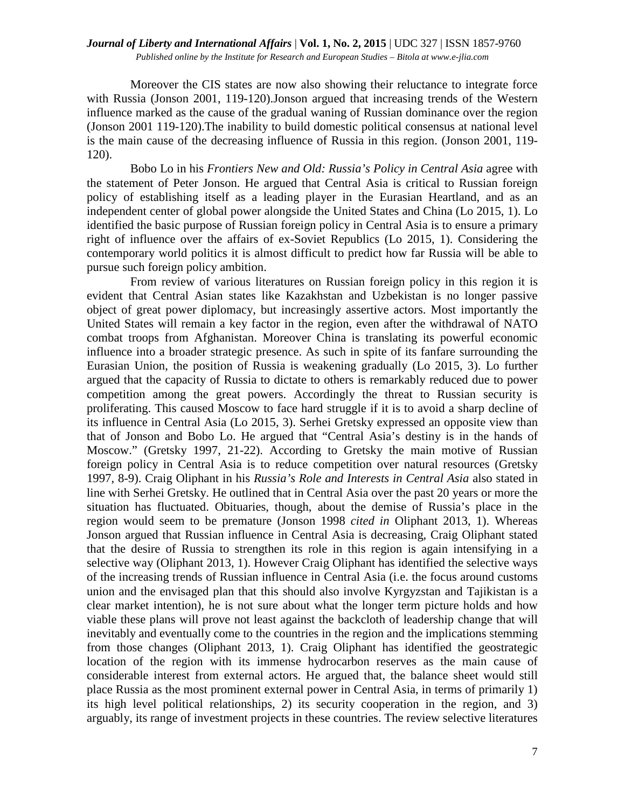### *Journal of Liberty and International Affairs* | **Vol. 1, No. 2, 2015** | UDC 327 | ISSN 1857-9760 *Published online by the Institute for Research and European Studies – Bitola at www.e-jlia.com*

Moreover the CIS states are now also showing their reluctance to integrate force with Russia (Jonson 2001, 119-120).Jonson argued that increasing trends of the Western influence marked as the cause of the gradual waning of Russian dominance over the region (Jonson 2001 119-120).The inability to build domestic political consensus at national level is the main cause of the decreasing influence of Russia in this region. (Jonson 2001, 119- 120).

Bobo Lo in his *Frontiers New and Old: Russia's Policy in Central Asia* agree with the statement of Peter Jonson. He argued that Central Asia is critical to Russian foreign policy of establishing itself as a leading player in the Eurasian Heartland, and as an independent center of global power alongside the United States and China (Lo 2015, 1). Lo identified the basic purpose of Russian foreign policy in Central Asia is to ensure a primary right of influence over the affairs of ex-Soviet Republics (Lo 2015, 1). Considering the contemporary world politics it is almost difficult to predict how far Russia will be able to pursue such foreign policy ambition.

From review of various literatures on Russian foreign policy in this region it is evident that Central Asian states like Kazakhstan and Uzbekistan is no longer passive object of great power diplomacy, but increasingly assertive actors. Most importantly the United States will remain a key factor in the region, even after the withdrawal of NATO combat troops from Afghanistan. Moreover China is translating its powerful economic influence into a broader strategic presence. As such in spite of its fanfare surrounding the Eurasian Union, the position of Russia is weakening gradually (Lo 2015, 3). Lo further argued that the capacity of Russia to dictate to others is remarkably reduced due to power competition among the great powers. Accordingly the threat to Russian security is proliferating. This caused Moscow to face hard struggle if it is to avoid a sharp decline of its influence in Central Asia (Lo 2015, 3). Serhei Gretsky expressed an opposite view than that of Jonson and Bobo Lo. He argued that "Central Asia's destiny is in the hands of Moscow." (Gretsky 1997, 21-22). According to Gretsky the main motive of Russian foreign policy in Central Asia is to reduce competition over natural resources (Gretsky 1997, 8-9). Craig Oliphant in his *Russia's Role and Interests in Central Asia* also stated in line with Serhei Gretsky. He outlined that in Central Asia over the past 20 years or more the situation has fluctuated. Obituaries, though, about the demise of Russia's place in the region would seem to be premature (Jonson 1998 *cited in* Oliphant 2013, 1). Whereas Jonson argued that Russian influence in Central Asia is decreasing, Craig Oliphant stated that the desire of Russia to strengthen its role in this region is again intensifying in a selective way (Oliphant 2013, 1). However Craig Oliphant has identified the selective ways of the increasing trends of Russian influence in Central Asia (i.e. the focus around customs union and the envisaged plan that this should also involve Kyrgyzstan and Tajikistan is a clear market intention), he is not sure about what the longer term picture holds and how viable these plans will prove not least against the backcloth of leadership change that will inevitably and eventually come to the countries in the region and the implications stemming from those changes (Oliphant 2013, 1). Craig Oliphant has identified the geostrategic location of the region with its immense hydrocarbon reserves as the main cause of considerable interest from external actors. He argued that, the balance sheet would still place Russia as the most prominent external power in Central Asia, in terms of primarily 1) its high level political relationships, 2) its security cooperation in the region, and 3) arguably, its range of investment projects in these countries. The review selective literatures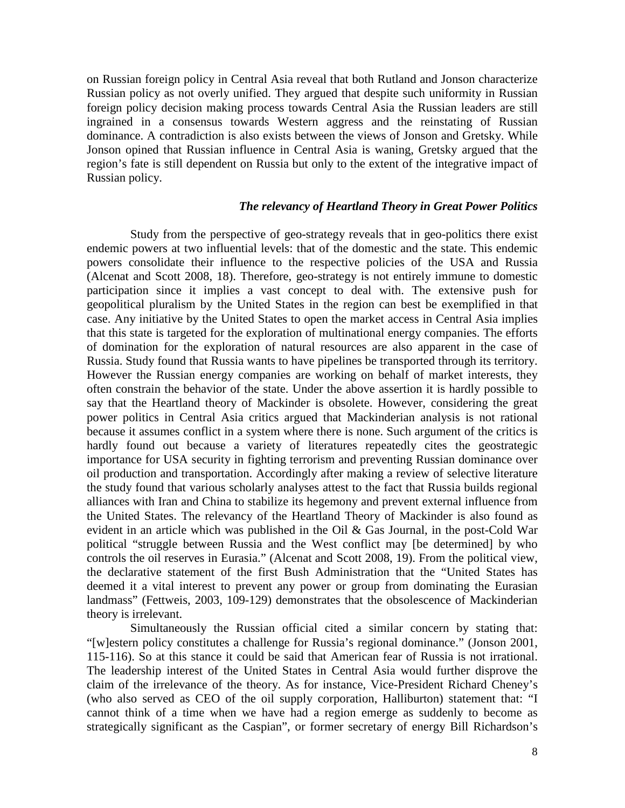on Russian foreign policy in Central Asia reveal that both Rutland and Jonson characterize Russian policy as not overly unified. They argued that despite such uniformity in Russian foreign policy decision making process towards Central Asia the Russian leaders are still ingrained in a consensus towards Western aggress and the reinstating of Russian dominance. A contradiction is also exists between the views of Jonson and Gretsky. While Jonson opined that Russian influence in Central Asia is waning, Gretsky argued that the region's fate is still dependent on Russia but only to the extent of the integrative impact of Russian policy.

### *The relevancy of Heartland Theory in Great Power Politics*

Study from the perspective of geo-strategy reveals that in geo-politics there exist endemic powers at two influential levels: that of the domestic and the state. This endemic powers consolidate their influence to the respective policies of the USA and Russia (Alcenat and Scott 2008, 18). Therefore, geo-strategy is not entirely immune to domestic participation since it implies a vast concept to deal with. The extensive push for geopolitical pluralism by the United States in the region can best be exemplified in that case. Any initiative by the United States to open the market access in Central Asia implies that this state is targeted for the exploration of multinational energy companies. The efforts of domination for the exploration of natural resources are also apparent in the case of Russia. Study found that Russia wants to have pipelines be transported through its territory. However the Russian energy companies are working on behalf of market interests, they often constrain the behavior of the state. Under the above assertion it is hardly possible to say that the Heartland theory of Mackinder is obsolete. However, considering the great power politics in Central Asia critics argued that Mackinderian analysis is not rational because it assumes conflict in a system where there is none. Such argument of the critics is hardly found out because a variety of literatures repeatedly cites the geostrategic importance for USA security in fighting terrorism and preventing Russian dominance over oil production and transportation. Accordingly after making a review of selective literature the study found that various scholarly analyses attest to the fact that Russia builds regional alliances with Iran and China to stabilize its hegemony and prevent external influence from the United States. The relevancy of the Heartland Theory of Mackinder is also found as evident in an article which was published in the Oil & Gas Journal, in the post-Cold War political "struggle between Russia and the West conflict may [be determined] by who controls the oil reserves in Eurasia." (Alcenat and Scott 2008, 19). From the political view, the declarative statement of the first Bush Administration that the "United States has deemed it a vital interest to prevent any power or group from dominating the Eurasian landmass" (Fettweis, 2003, 109-129) demonstrates that the obsolescence of Mackinderian theory is irrelevant.

Simultaneously the Russian official cited a similar concern by stating that: "[w]estern policy constitutes a challenge for Russia's regional dominance." (Jonson 2001, 115-116). So at this stance it could be said that American fear of Russia is not irrational. The leadership interest of the United States in Central Asia would further disprove the claim of the irrelevance of the theory. As for instance, Vice-President Richard Cheney's (who also served as CEO of the oil supply corporation, Halliburton) statement that: "I cannot think of a time when we have had a region emerge as suddenly to become as strategically significant as the Caspian", or former secretary of energy Bill Richardson's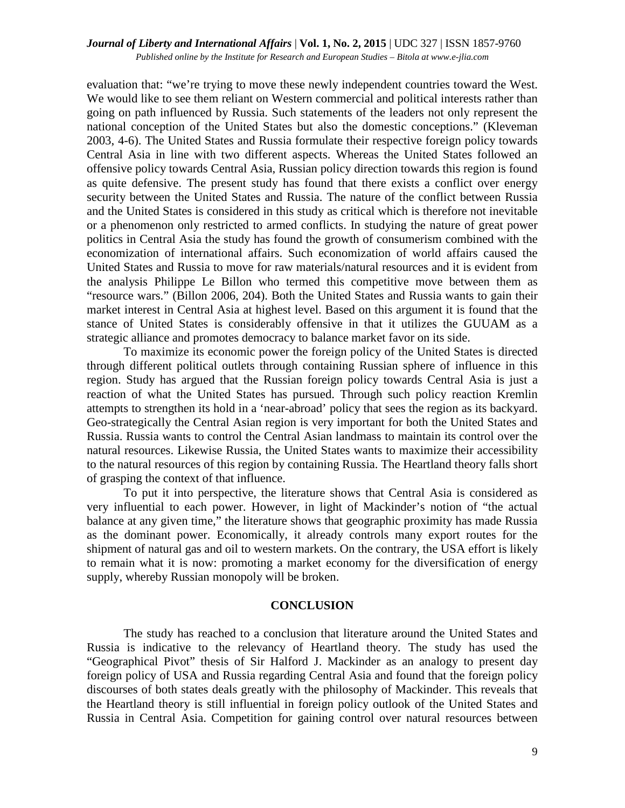evaluation that: "we're trying to move these newly independent countries toward the West. We would like to see them reliant on Western commercial and political interests rather than going on path influenced by Russia. Such statements of the leaders not only represent the national conception of the United States but also the domestic conceptions." (Kleveman 2003, 4-6). The United States and Russia formulate their respective foreign policy towards Central Asia in line with two different aspects. Whereas the United States followed an offensive policy towards Central Asia, Russian policy direction towards this region is found as quite defensive. The present study has found that there exists a conflict over energy security between the United States and Russia. The nature of the conflict between Russia and the United States is considered in this study as critical which is therefore not inevitable or a phenomenon only restricted to armed conflicts. In studying the nature of great power politics in Central Asia the study has found the growth of consumerism combined with the economization of international affairs. Such economization of world affairs caused the United States and Russia to move for raw materials/natural resources and it is evident from the analysis Philippe Le Billon who termed this competitive move between them as "resource wars." (Billon 2006, 204). Both the United States and Russia wants to gain their market interest in Central Asia at highest level. Based on this argument it is found that the stance of United States is considerably offensive in that it utilizes the GUUAM as a strategic alliance and promotes democracy to balance market favor on its side.

To maximize its economic power the foreign policy of the United States is directed through different political outlets through containing Russian sphere of influence in this region. Study has argued that the Russian foreign policy towards Central Asia is just a reaction of what the United States has pursued. Through such policy reaction Kremlin attempts to strengthen its hold in a 'near-abroad' policy that sees the region as its backyard. Geo-strategically the Central Asian region is very important for both the United States and Russia. Russia wants to control the Central Asian landmass to maintain its control over the natural resources. Likewise Russia, the United States wants to maximize their accessibility to the natural resources of this region by containing Russia. The Heartland theory falls short of grasping the context of that influence.

To put it into perspective, the literature shows that Central Asia is considered as very influential to each power. However, in light of Mackinder's notion of "the actual balance at any given time," the literature shows that geographic proximity has made Russia as the dominant power. Economically, it already controls many export routes for the shipment of natural gas and oil to western markets. On the contrary, the USA effort is likely to remain what it is now: promoting a market economy for the diversification of energy supply, whereby Russian monopoly will be broken.

### **CONCLUSION**

The study has reached to a conclusion that literature around the United States and Russia is indicative to the relevancy of Heartland theory. The study has used the "Geographical Pivot" thesis of Sir Halford J. Mackinder as an analogy to present day foreign policy of USA and Russia regarding Central Asia and found that the foreign policy discourses of both states deals greatly with the philosophy of Mackinder. This reveals that the Heartland theory is still influential in foreign policy outlook of the United States and Russia in Central Asia. Competition for gaining control over natural resources between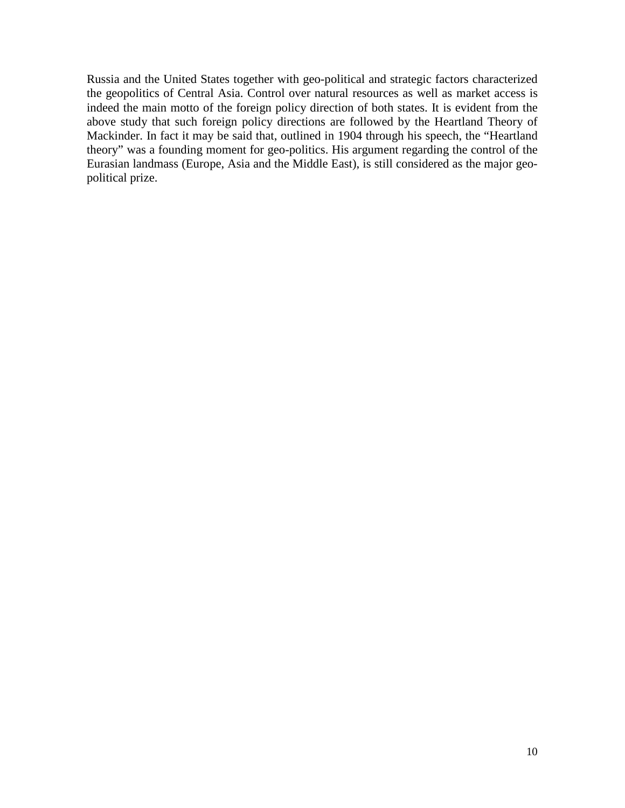Russia and the United States together with geo-political and strategic factors characterized the geopolitics of Central Asia. Control over natural resources as well as market access is indeed the main motto of the foreign policy direction of both states. It is evident from the above study that such foreign policy directions are followed by the Heartland Theory of Mackinder. In fact it may be said that, outlined in 1904 through his speech, the "Heartland theory" was a founding moment for geo-politics. His argument regarding the control of the Eurasian landmass (Europe, Asia and the Middle East), is still considered as the major geopolitical prize.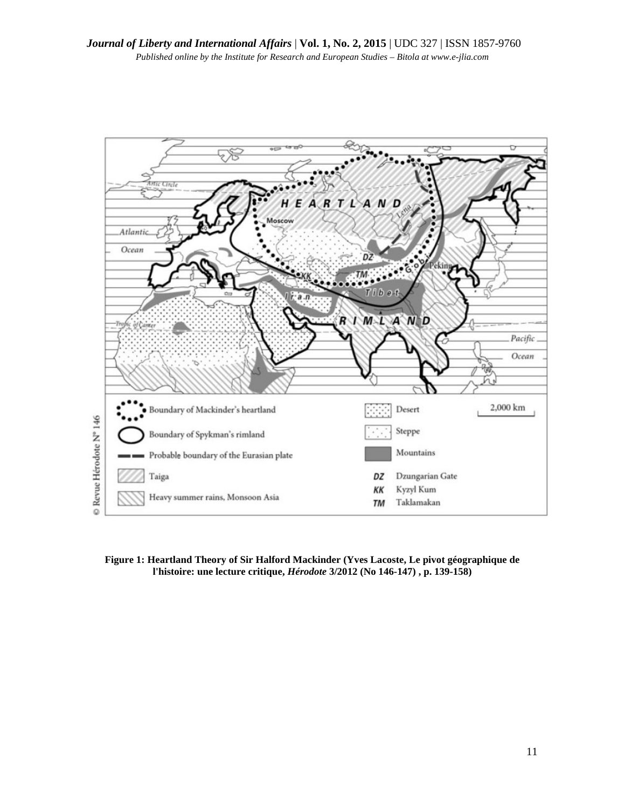

**Figure 1: Heartland Theory of Sir Halford Mackinder (Yves Lacoste, Le pivot géographique de l'histoire: une lecture critique,** *Hérodote* **3/2012 (No 146-147) , p. 139-158)**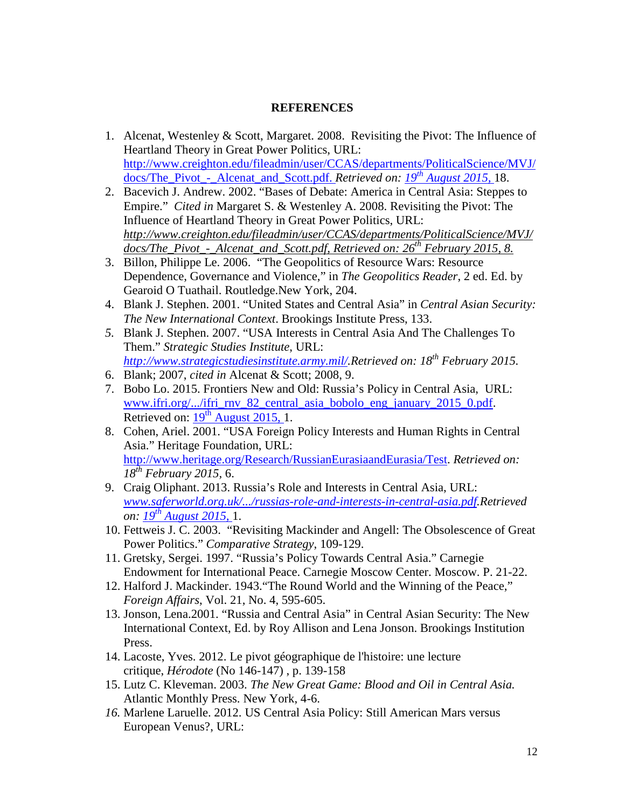# **REFERENCES**

- 1. Alcenat, Westenley & Scott, Margaret. 2008. Revisiting the Pivot: The Influence of Heartland Theory in Great Power Politics, URL: http://www.creighton.edu/fileadmin/user/CCAS/departments/PoliticalScience/MVJ/ docs/The\_Pivot\_-\_Alcenat\_and\_Scott.pdf. *Retrieved on: 19th August 2015,* 18.
- 2. Bacevich J. Andrew. 2002. "Bases of Debate: America in Central Asia: Steppes to Empire." *Cited in* Margaret S. & Westenley A. 2008. Revisiting the Pivot: The Influence of Heartland Theory in Great Power Politics, URL: *http://www.creighton.edu/fileadmin/user/CCAS/departments/PoliticalScience/MVJ/ docs/The\_Pivot\_-\_Alcenat\_and\_Scott.pdf, Retrieved on: 26th February 2015, 8.*
- 3. Billon, Philippe Le. 2006. "The Geopolitics of Resource Wars: Resource Dependence, Governance and Violence," in *The Geopolitics Reader*, 2 ed. Ed. by Gearoid O Tuathail. Routledge.New York, 204.
- 4. Blank J. Stephen. 2001. "United States and Central Asia" in *Central Asian Security: The New International Context*. Brookings Institute Press, 133.
- *5.* Blank J. Stephen. 2007. "USA Interests in Central Asia And The Challenges To Them." *Strategic Studies Institute*, URL: *http://www.strategicstudiesinstitute.army.mil/.Retrieved on: 18th February 2015.*
- 6. Blank; 2007, *cited in* Alcenat & Scott; 2008, 9.
- 7. Bobo Lo. 2015. Frontiers New and Old: Russia's Policy in Central Asia, URL: www.ifri.org/.../ifri\_rnv\_82\_central\_asia\_bobolo\_eng\_january\_2015\_0.pdf. Retrieved on:  $19<sup>th</sup>$  August 2015, 1.
- 8. Cohen, Ariel. 2001. "USA Foreign Policy Interests and Human Rights in Central Asia." Heritage Foundation, URL: http://www.heritage.org/Research/RussianEurasiaandEurasia/Test. *Retrieved on: 18th February 2015,* 6.
- 9. Craig Oliphant. 2013. Russia's Role and Interests in Central Asia, URL: *www.saferworld.org.uk/.../russias-role-and-interests-in-central-asia.pdf.Retrieved on: 19th August 2015,* 1.
- 10. Fettweis J. C. 2003. "Revisiting Mackinder and Angell: The Obsolescence of Great Power Politics." *Comparative Strategy*, 109-129.
- 11. Gretsky, Sergei. 1997. "Russia's Policy Towards Central Asia." Carnegie Endowment for International Peace. Carnegie Moscow Center. Moscow. P. 21-22.
- 12. Halford J. Mackinder. 1943."The Round World and the Winning of the Peace," *Foreign Affairs*, Vol. 21, No. 4, 595-605.
- 13. Jonson, Lena.2001. "Russia and Central Asia" in Central Asian Security: The New International Context, Ed. by Roy Allison and Lena Jonson. Brookings Institution Press.
- 14. Lacoste, Yves. 2012. Le pivot géographique de l'histoire: une lecture critique, *Hérodote* (No 146-147) , p. 139-158
- 15. Lutz C. Kleveman. 2003. *The New Great Game: Blood and Oil in Central Asia.*  Atlantic Monthly Press. New York, 4-6.
- *16.* Marlene Laruelle. 2012. US Central Asia Policy: Still American Mars versus European Venus?, URL: